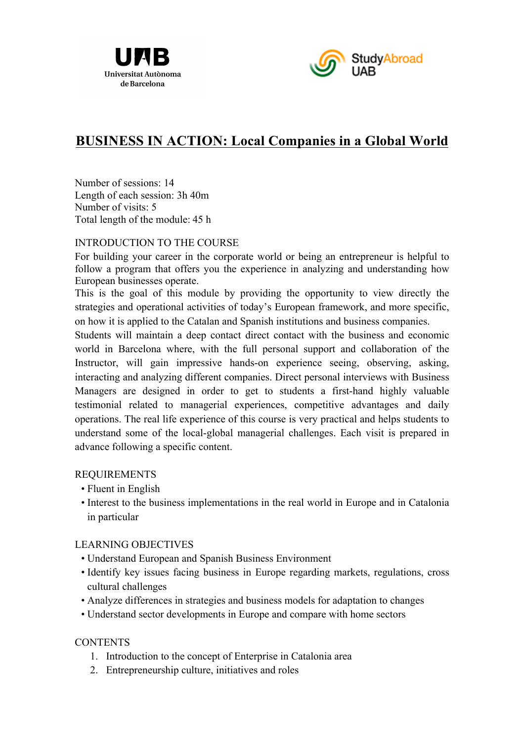



# **BUSINESS IN ACTION: Local Companies in a Global World**

Number of sessions: 14 Length of each session: 3h 40m Number of visits: 5 Total length of the module: 45 h

## INTRODUCTION TO THE COURSE

For building your career in the corporate world or being an entrepreneur is helpful to follow a program that offers you the experience in analyzing and understanding how European businesses operate.

This is the goal of this module by providing the opportunity to view directly the strategies and operational activities of today's European framework, and more specific, on how it is applied to the Catalan and Spanish institutions and business companies.

Students will maintain a deep contact direct contact with the business and economic world in Barcelona where, with the full personal support and collaboration of the Instructor, will gain impressive hands-on experience seeing, observing, asking, interacting and analyzing different companies. Direct personal interviews with Business Managers are designed in order to get to students a first-hand highly valuable testimonial related to managerial experiences, competitive advantages and daily operations. The real life experience of this course is very practical and helps students to understand some of the local-global managerial challenges. Each visit is prepared in advance following a specific content.

#### REQUIREMENTS

- Fluent in English
- Interest to the business implementations in the real world in Europe and in Catalonia in particular

#### LEARNING OBJECTIVES

- Understand European and Spanish Business Environment
- Identify key issues facing business in Europe regarding markets, regulations, cross cultural challenges
- Analyze differences in strategies and business models for adaptation to changes
- Understand sector developments in Europe and compare with home sectors

## **CONTENTS**

- 1. Introduction to the concept of Enterprise in Catalonia area
- 2. Entrepreneurship culture, initiatives and roles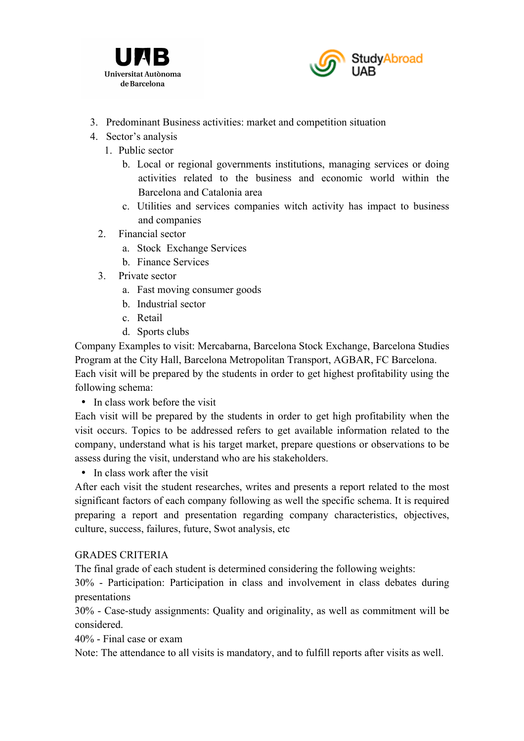



- 3. Predominant Business activities: market and competition situation
- 4. Sector's analysis
	- 1. Public sector
		- b. Local or regional governments institutions, managing services or doing activities related to the business and economic world within the Barcelona and Catalonia area
		- c. Utilities and services companies witch activity has impact to business and companies
	- 2. Financial sector
		- a. Stock Exchange Services
		- b. Finance Services
	- 3. Private sector
		- a. Fast moving consumer goods
		- b. Industrial sector
		- c. Retail
		- d. Sports clubs

Company Examples to visit: Mercabarna, Barcelona Stock Exchange, Barcelona Studies Program at the City Hall, Barcelona Metropolitan Transport, AGBAR, FC Barcelona. Each visit will be prepared by the students in order to get highest profitability using the following schema:

• In class work before the visit

Each visit will be prepared by the students in order to get high profitability when the visit occurs. Topics to be addressed refers to get available information related to the company, understand what is his target market, prepare questions or observations to be assess during the visit, understand who are his stakeholders.

• In class work after the visit

After each visit the student researches, writes and presents a report related to the most significant factors of each company following as well the specific schema. It is required preparing a report and presentation regarding company characteristics, objectives, culture, success, failures, future, Swot analysis, etc

## GRADES CRITERIA

The final grade of each student is determined considering the following weights:

30% - Participation: Participation in class and involvement in class debates during presentations

30% - Case-study assignments: Quality and originality, as well as commitment will be considered.

40% - Final case or exam

Note: The attendance to all visits is mandatory, and to fulfill reports after visits as well.